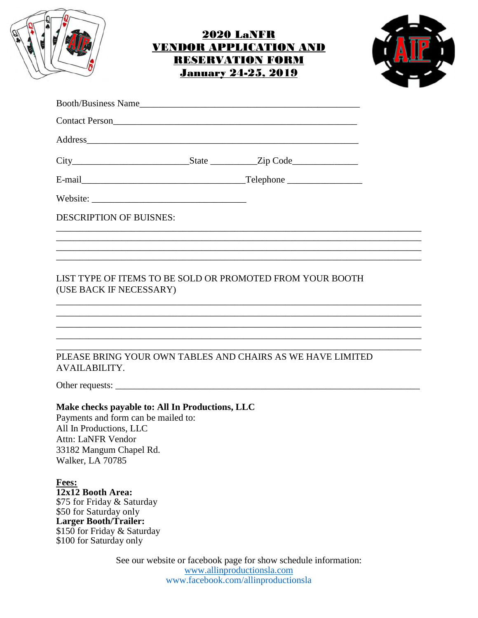

## 2020 LaNFR VENDOR APPLICATION AND RESERVATION FORM January 24-25, 2019



|                                                                                                                 | <b>DESCRIPTION OF BUISNES:</b>                                                                                    |                                                                                   |
|-----------------------------------------------------------------------------------------------------------------|-------------------------------------------------------------------------------------------------------------------|-----------------------------------------------------------------------------------|
|                                                                                                                 |                                                                                                                   | ,我们也不能在这里的时候,我们也不能在这里的时候,我们也不能会在这里的时候,我们也不能会在这里的时候,我们也不能会在这里的时候,我们也不能会在这里的时候,我们也不 |
|                                                                                                                 |                                                                                                                   |                                                                                   |
|                                                                                                                 |                                                                                                                   | PLEASE BRING YOUR OWN TABLES AND CHAIRS AS WE HAVE LIMITED                        |
| <b>AVAILABILITY.</b>                                                                                            |                                                                                                                   |                                                                                   |
|                                                                                                                 |                                                                                                                   |                                                                                   |
| All In Productions, LLC<br><b>Attn: LaNFR Vendor</b><br>Walker, LA 70785                                        | Make checks payable to: All In Productions, LLC<br>Payments and form can be mailed to:<br>33182 Mangum Chapel Rd. |                                                                                   |
| Fees:<br>12x12 Booth Area:<br>\$50 for Saturday only<br><b>Larger Booth/Trailer:</b><br>\$100 for Saturday only | \$75 for Friday & Saturday<br>\$150 for Friday & Saturday                                                         |                                                                                   |
|                                                                                                                 |                                                                                                                   | See our website or facebook page for show schedule information:                   |

www.allinproductionsla.com www.facebook.com/allinproductionsla